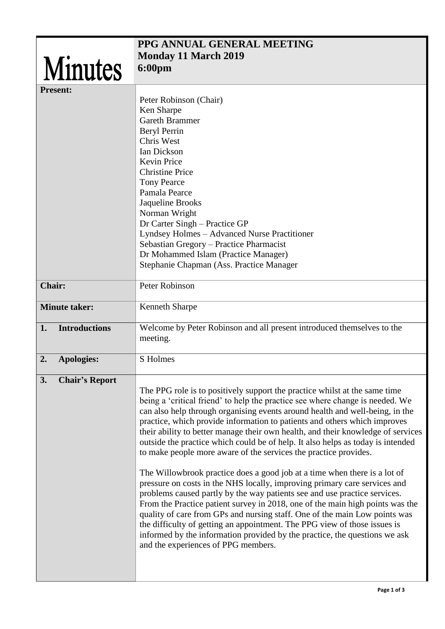|                             | PPG ANNUAL GENERAL MEETING                                                                                                                          |
|-----------------------------|-----------------------------------------------------------------------------------------------------------------------------------------------------|
|                             |                                                                                                                                                     |
| <b>Minutes</b>              | <b>Monday 11 March 2019</b>                                                                                                                         |
|                             | <b>6:00pm</b>                                                                                                                                       |
| <b>Present:</b>             |                                                                                                                                                     |
|                             |                                                                                                                                                     |
|                             | Peter Robinson (Chair)<br>Ken Sharpe                                                                                                                |
|                             | <b>Gareth Brammer</b>                                                                                                                               |
|                             | <b>Beryl Perrin</b>                                                                                                                                 |
|                             | Chris West                                                                                                                                          |
|                             | Ian Dickson                                                                                                                                         |
|                             | <b>Kevin Price</b>                                                                                                                                  |
|                             | <b>Christine Price</b>                                                                                                                              |
|                             | <b>Tony Pearce</b>                                                                                                                                  |
|                             | Pamala Pearce                                                                                                                                       |
|                             | Jaqueline Brooks                                                                                                                                    |
|                             | Norman Wright                                                                                                                                       |
|                             | Dr Carter Singh – Practice GP                                                                                                                       |
|                             | Lyndsey Holmes - Advanced Nurse Practitioner                                                                                                        |
|                             | Sebastian Gregory - Practice Pharmacist                                                                                                             |
|                             | Dr Mohammed Islam (Practice Manager)                                                                                                                |
|                             | Stephanie Chapman (Ass. Practice Manager                                                                                                            |
|                             |                                                                                                                                                     |
| <b>Chair:</b>               | Peter Robinson                                                                                                                                      |
|                             |                                                                                                                                                     |
| <b>Minute taker:</b>        | <b>Kenneth Sharpe</b>                                                                                                                               |
|                             |                                                                                                                                                     |
| <b>Introductions</b><br>1.  | Welcome by Peter Robinson and all present introduced themselves to the                                                                              |
|                             | meeting.                                                                                                                                            |
|                             |                                                                                                                                                     |
| 2.<br><b>Apologies:</b>     | S Holmes                                                                                                                                            |
|                             |                                                                                                                                                     |
| 3.<br><b>Chair's Report</b> |                                                                                                                                                     |
|                             | The PPG role is to positively support the practice whilst at the same time                                                                          |
|                             | being a 'critical friend' to help the practice see where change is needed. We                                                                       |
|                             | can also help through organising events around health and well-being, in the                                                                        |
|                             | practice, which provide information to patients and others which improves                                                                           |
|                             | their ability to better manage their own health, and their knowledge of services                                                                    |
|                             | outside the practice which could be of help. It also helps as today is intended<br>to make people more aware of the services the practice provides. |
|                             |                                                                                                                                                     |
|                             | The Willowbrook practice does a good job at a time when there is a lot of                                                                           |
|                             | pressure on costs in the NHS locally, improving primary care services and                                                                           |
|                             | problems caused partly by the way patients see and use practice services.                                                                           |
|                             | From the Practice patient survey in 2018, one of the main high points was the                                                                       |
|                             | quality of care from GPs and nursing staff. One of the main Low points was                                                                          |
|                             | the difficulty of getting an appointment. The PPG view of those issues is                                                                           |
|                             | informed by the information provided by the practice, the questions we ask                                                                          |
|                             | and the experiences of PPG members.                                                                                                                 |
|                             |                                                                                                                                                     |
|                             |                                                                                                                                                     |
|                             |                                                                                                                                                     |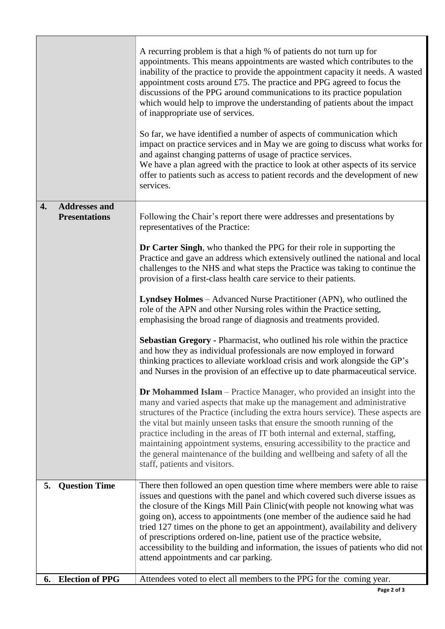|    |                                              | A recurring problem is that a high % of patients do not turn up for<br>appointments. This means appointments are wasted which contributes to the<br>inability of the practice to provide the appointment capacity it needs. A wasted<br>appointment costs around £75. The practice and PPG agreed to focus the<br>discussions of the PPG around communications to its practice population<br>which would help to improve the understanding of patients about the impact<br>of inappropriate use of services.<br>So far, we have identified a number of aspects of communication which<br>impact on practice services and in May we are going to discuss what works for<br>and against changing patterns of usage of practice services.<br>We have a plan agreed with the practice to look at other aspects of its service<br>offer to patients such as access to patient records and the development of new<br>services. |
|----|----------------------------------------------|--------------------------------------------------------------------------------------------------------------------------------------------------------------------------------------------------------------------------------------------------------------------------------------------------------------------------------------------------------------------------------------------------------------------------------------------------------------------------------------------------------------------------------------------------------------------------------------------------------------------------------------------------------------------------------------------------------------------------------------------------------------------------------------------------------------------------------------------------------------------------------------------------------------------------|
| 4. | <b>Addresses and</b><br><b>Presentations</b> | Following the Chair's report there were addresses and presentations by<br>representatives of the Practice:                                                                                                                                                                                                                                                                                                                                                                                                                                                                                                                                                                                                                                                                                                                                                                                                               |
|    |                                              | Dr Carter Singh, who thanked the PPG for their role in supporting the<br>Practice and gave an address which extensively outlined the national and local<br>challenges to the NHS and what steps the Practice was taking to continue the<br>provision of a first-class health care service to their patients.                                                                                                                                                                                                                                                                                                                                                                                                                                                                                                                                                                                                             |
|    |                                              | <b>Lyndsey Holmes</b> – Advanced Nurse Practitioner (APN), who outlined the<br>role of the APN and other Nursing roles within the Practice setting,<br>emphasising the broad range of diagnosis and treatments provided.                                                                                                                                                                                                                                                                                                                                                                                                                                                                                                                                                                                                                                                                                                 |
|    |                                              | Sebastian Gregory - Pharmacist, who outlined his role within the practice<br>and how they as individual professionals are now employed in forward<br>thinking practices to alleviate workload crisis and work alongside the GP's<br>and Nurses in the provision of an effective up to date pharmaceutical service.                                                                                                                                                                                                                                                                                                                                                                                                                                                                                                                                                                                                       |
|    |                                              | <b>Dr Mohammed Islam</b> – Practice Manager, who provided an insight into the<br>many and varied aspects that make up the management and administrative<br>structures of the Practice (including the extra hours service). These aspects are<br>the vital but mainly unseen tasks that ensure the smooth running of the<br>practice including in the areas of IT both internal and external, staffing,<br>maintaining appointment systems, ensuring accessibility to the practice and<br>the general maintenance of the building and wellbeing and safety of all the<br>staff, patients and visitors.                                                                                                                                                                                                                                                                                                                    |
| 5. | <b>Question Time</b>                         | There then followed an open question time where members were able to raise<br>issues and questions with the panel and which covered such diverse issues as<br>the closure of the Kings Mill Pain Clinic(with people not knowing what was<br>going on), access to appointments (one member of the audience said he had<br>tried 127 times on the phone to get an appointment), availability and delivery<br>of prescriptions ordered on-line, patient use of the practice website,<br>accessibility to the building and information, the issues of patients who did not<br>attend appointments and car parking.                                                                                                                                                                                                                                                                                                           |
| 6. | <b>Election of PPG</b>                       | Attendees voted to elect all members to the PPG for the coming year.                                                                                                                                                                                                                                                                                                                                                                                                                                                                                                                                                                                                                                                                                                                                                                                                                                                     |